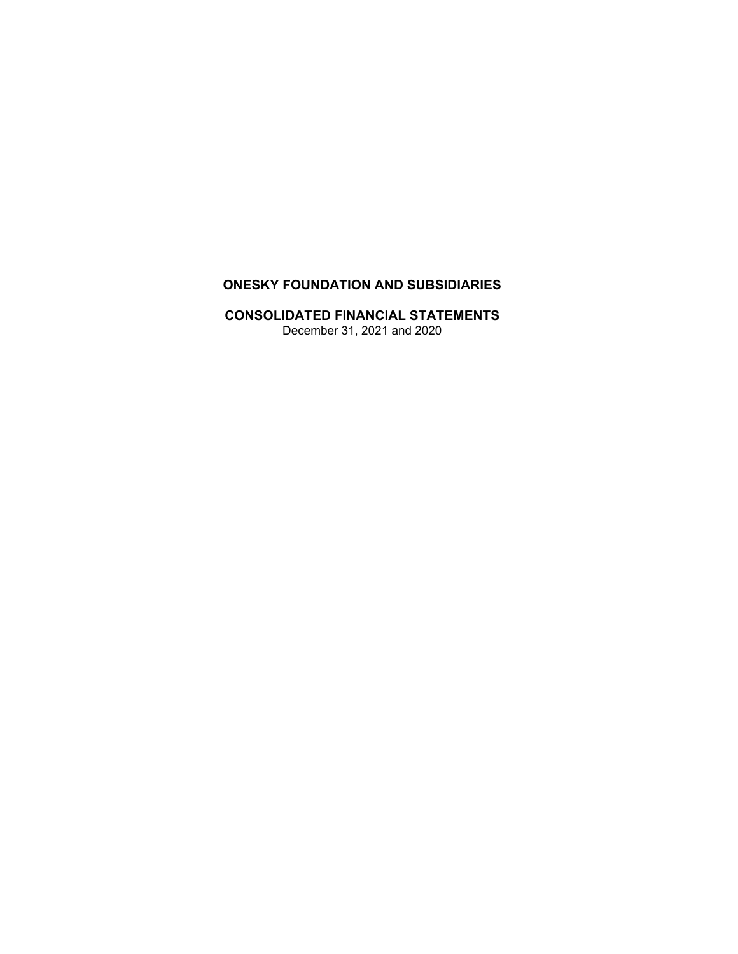# **ONESKY FOUNDATION AND SUBSIDIARIES**

**CONSOLIDATED FINANCIAL STATEMENTS**  December 31, 2021 and 2020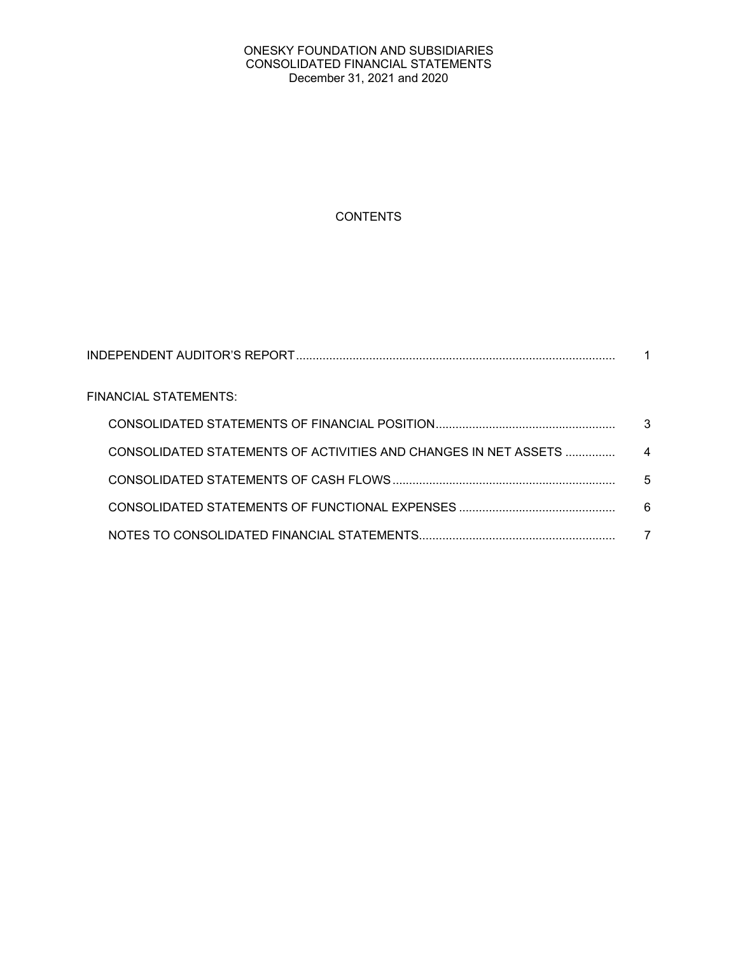## ONESKY FOUNDATION AND SUBSIDIARIES CONSOLIDATED FINANCIAL STATEMENTS December 31, 2021 and 2020

# **CONTENTS**

| FINANCIAL STATEMENTS:                                           |                |
|-----------------------------------------------------------------|----------------|
|                                                                 | 3              |
| CONSOLIDATED STATEMENTS OF ACTIVITIES AND CHANGES IN NET ASSETS | $\overline{4}$ |
|                                                                 | -5             |
|                                                                 | 6              |
|                                                                 |                |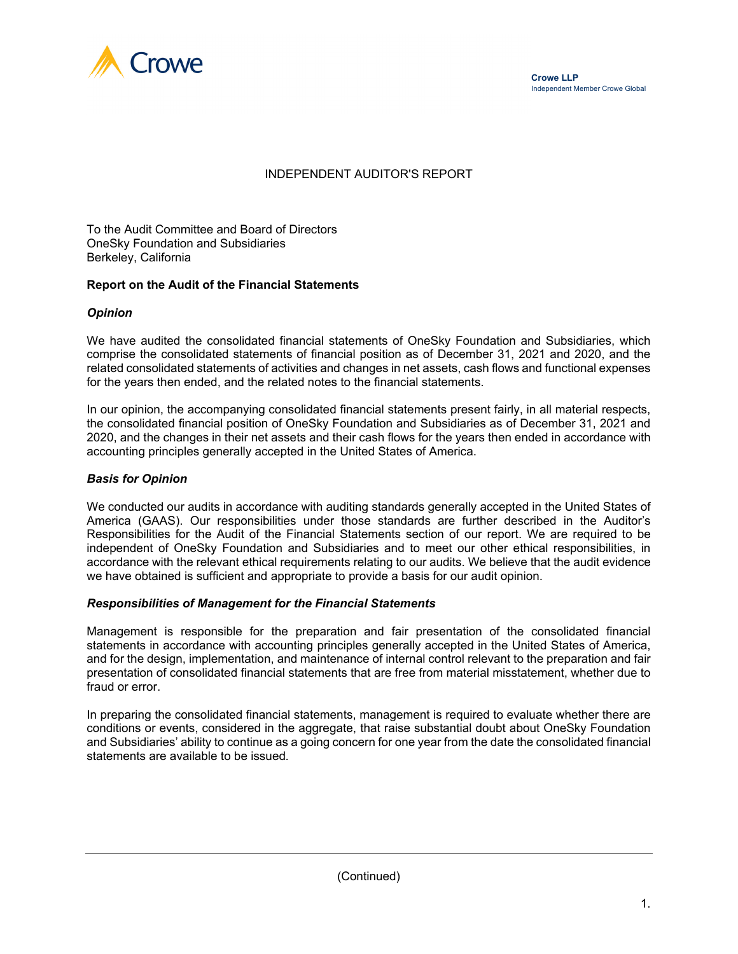



### INDEPENDENT AUDITOR'S REPORT

To the Audit Committee and Board of Directors OneSky Foundation and Subsidiaries Berkeley, California

#### **Report on the Audit of the Financial Statements**

#### *Opinion*

We have audited the consolidated financial statements of OneSky Foundation and Subsidiaries, which comprise the consolidated statements of financial position as of December 31, 2021 and 2020, and the related consolidated statements of activities and changes in net assets, cash flows and functional expenses for the years then ended, and the related notes to the financial statements.

In our opinion, the accompanying consolidated financial statements present fairly, in all material respects, the consolidated financial position of OneSky Foundation and Subsidiaries as of December 31, 2021 and 2020, and the changes in their net assets and their cash flows for the years then ended in accordance with accounting principles generally accepted in the United States of America.

#### *Basis for Opinion*

We conducted our audits in accordance with auditing standards generally accepted in the United States of America (GAAS). Our responsibilities under those standards are further described in the Auditor's Responsibilities for the Audit of the Financial Statements section of our report. We are required to be independent of OneSky Foundation and Subsidiaries and to meet our other ethical responsibilities, in accordance with the relevant ethical requirements relating to our audits. We believe that the audit evidence we have obtained is sufficient and appropriate to provide a basis for our audit opinion.

#### *Responsibilities of Management for the Financial Statements*

Management is responsible for the preparation and fair presentation of the consolidated financial statements in accordance with accounting principles generally accepted in the United States of America, and for the design, implementation, and maintenance of internal control relevant to the preparation and fair presentation of consolidated financial statements that are free from material misstatement, whether due to fraud or error.

In preparing the consolidated financial statements, management is required to evaluate whether there are conditions or events, considered in the aggregate, that raise substantial doubt about OneSky Foundation and Subsidiaries' ability to continue as a going concern for one year from the date the consolidated financial statements are available to be issued*.*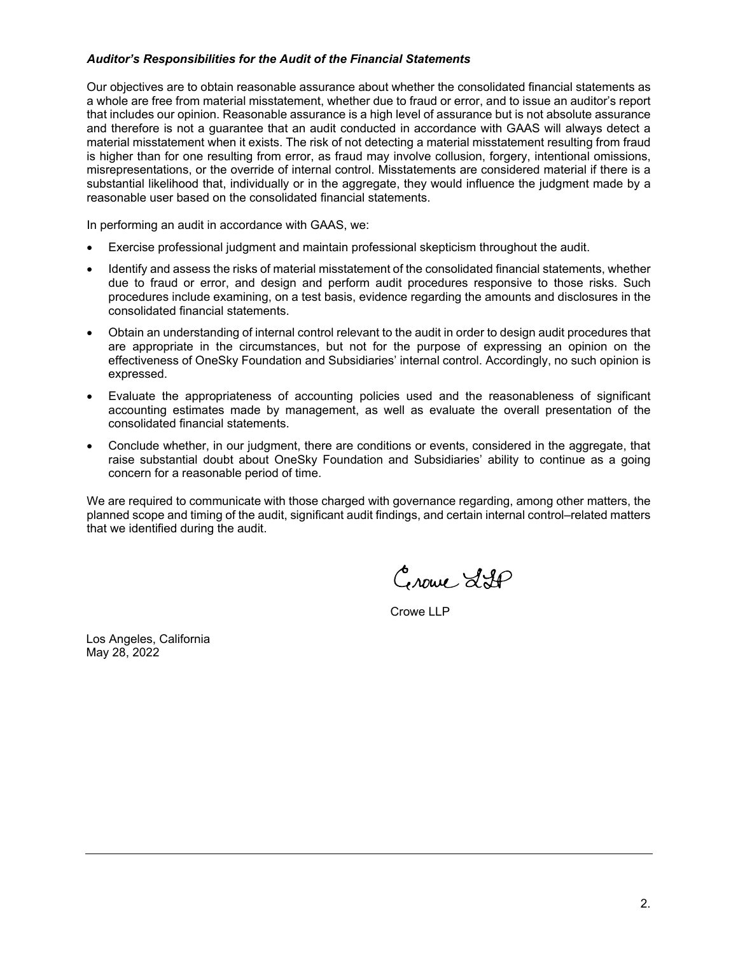### *Auditor's Responsibilities for the Audit of the Financial Statements*

Our objectives are to obtain reasonable assurance about whether the consolidated financial statements as a whole are free from material misstatement, whether due to fraud or error, and to issue an auditor's report that includes our opinion. Reasonable assurance is a high level of assurance but is not absolute assurance and therefore is not a guarantee that an audit conducted in accordance with GAAS will always detect a material misstatement when it exists. The risk of not detecting a material misstatement resulting from fraud is higher than for one resulting from error, as fraud may involve collusion, forgery, intentional omissions. misrepresentations, or the override of internal control. Misstatements are considered material if there is a substantial likelihood that, individually or in the aggregate, they would influence the judgment made by a reasonable user based on the consolidated financial statements.

In performing an audit in accordance with GAAS, we:

- Exercise professional judgment and maintain professional skepticism throughout the audit.
- Identify and assess the risks of material misstatement of the consolidated financial statements, whether due to fraud or error, and design and perform audit procedures responsive to those risks. Such procedures include examining, on a test basis, evidence regarding the amounts and disclosures in the consolidated financial statements.
- Obtain an understanding of internal control relevant to the audit in order to design audit procedures that are appropriate in the circumstances, but not for the purpose of expressing an opinion on the effectiveness of OneSky Foundation and Subsidiaries' internal control. Accordingly, no such opinion is expressed.
- Evaluate the appropriateness of accounting policies used and the reasonableness of significant accounting estimates made by management, as well as evaluate the overall presentation of the consolidated financial statements.
- Conclude whether, in our judgment, there are conditions or events, considered in the aggregate, that raise substantial doubt about OneSky Foundation and Subsidiaries' ability to continue as a going concern for a reasonable period of time.

We are required to communicate with those charged with governance regarding, among other matters, the planned scope and timing of the audit, significant audit findings, and certain internal control–related matters that we identified during the audit.

Crowe LLP

Crowe LLP

Los Angeles, California May 28, 2022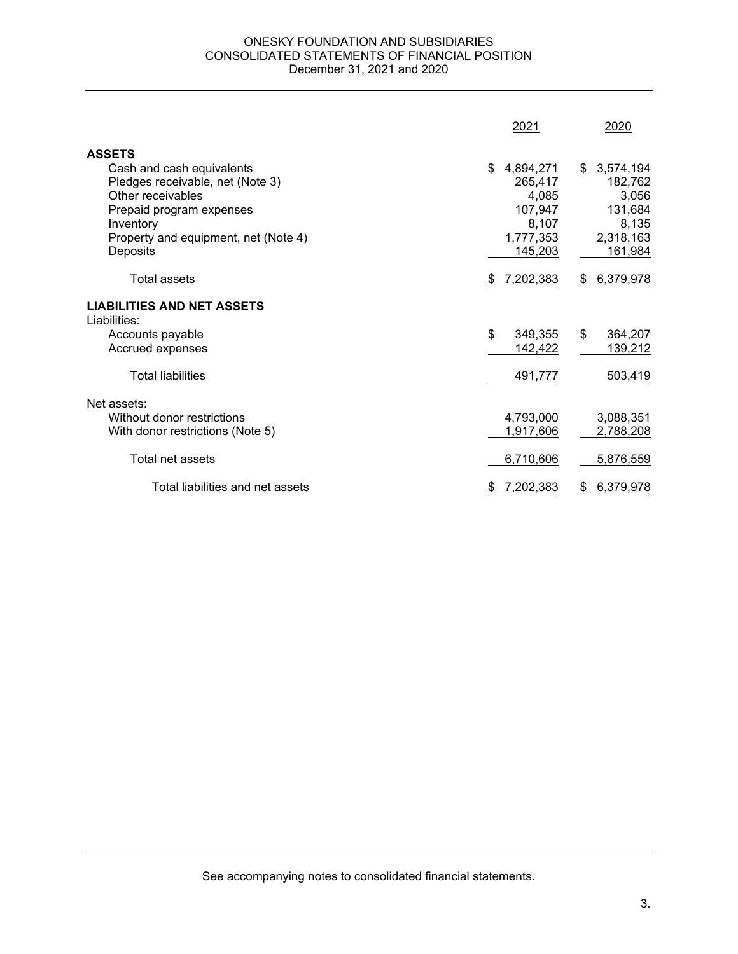### ONESKY FOUNDATION AND SUBSIDIARIES CONSOLIDATED STATEMENTS OF FINANCIAL POSITION December 31, 2021 and 2020

|                                                                                                                                              | 2021                                                    | 2020                                                    |
|----------------------------------------------------------------------------------------------------------------------------------------------|---------------------------------------------------------|---------------------------------------------------------|
| <b>ASSETS</b><br>Cash and cash equivalents<br>Pledges receivable, net (Note 3)<br>Other receivables<br>Prepaid program expenses<br>Inventory | \$<br>4,894,271<br>265,417<br>4.085<br>107,947<br>8,107 | \$<br>3,574,194<br>182,762<br>3,056<br>131,684<br>8,135 |
| Property and equipment, net (Note 4)<br>Deposits                                                                                             | 1,777,353<br>145,203                                    | 2,318,163<br>161,984                                    |
| Total assets                                                                                                                                 | 7,202,383<br>S                                          | 6,379,978<br>S                                          |
| <b>LIABILITIES AND NET ASSETS</b><br>Liabilities:                                                                                            |                                                         |                                                         |
| Accounts payable<br>Accrued expenses                                                                                                         | \$<br>349,355<br>142,422                                | \$<br>364,207<br>139,212                                |
| <b>Total liabilities</b>                                                                                                                     | 491,777                                                 | 503,419                                                 |
| Net assets:<br>Without donor restrictions<br>With donor restrictions (Note 5)                                                                | 4,793,000<br>1,917,606                                  | 3,088,351<br>2,788,208                                  |
| Total net assets                                                                                                                             | 6,710,606                                               | 5,876,559                                               |
| Total liabilities and net assets                                                                                                             | 7.202.383<br>Ъ                                          | 6,379,978<br>S                                          |

See accompanying notes to consolidated financial statements.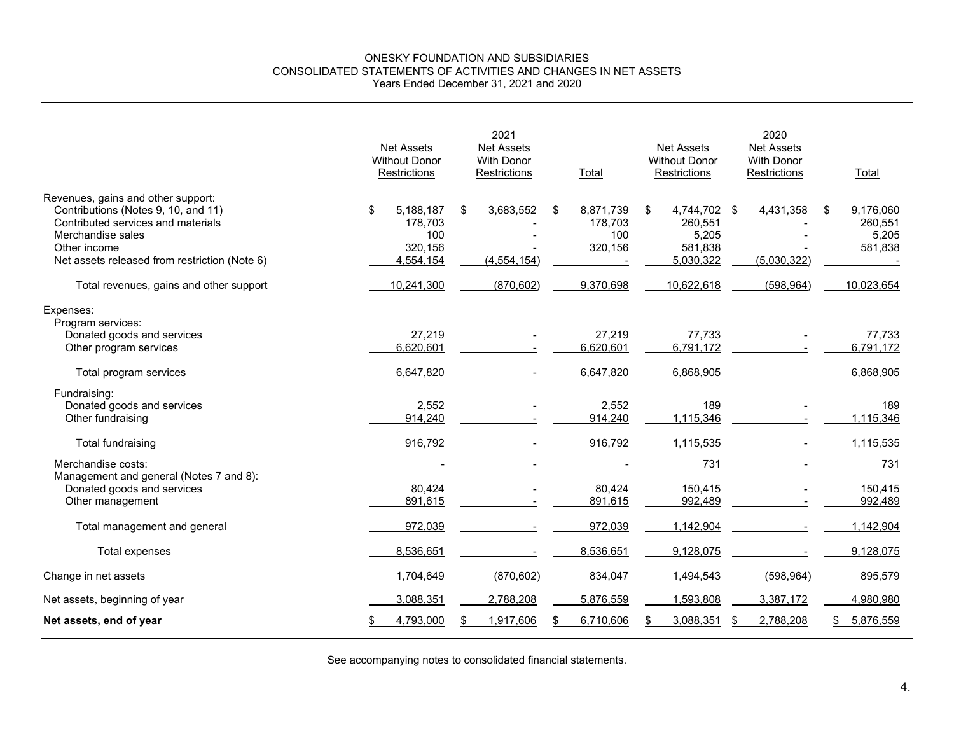#### ONESKY FOUNDATION AND SUBSIDIARIES CONSOLIDATED STATEMENTS OF ACTIVITIES AND CHANGES IN NET ASSETS Years Ended December 31, 2021 and 2020

|                                                                                                                 |                                      | 2021                       |                            |                                      | 2020                       |                            |
|-----------------------------------------------------------------------------------------------------------------|--------------------------------------|----------------------------|----------------------------|--------------------------------------|----------------------------|----------------------------|
|                                                                                                                 | <b>Net Assets</b>                    | <b>Net Assets</b>          |                            | <b>Net Assets</b>                    | <b>Net Assets</b>          |                            |
|                                                                                                                 | <b>Without Donor</b><br>Restrictions | With Donor<br>Restrictions | Total                      | <b>Without Donor</b><br>Restrictions | With Donor<br>Restrictions | Total                      |
|                                                                                                                 |                                      |                            |                            |                                      |                            |                            |
| Revenues, gains and other support:<br>Contributions (Notes 9, 10, and 11)<br>Contributed services and materials | \$<br>5,188,187<br>178,703           | 3,683,552<br>\$            | 8,871,739<br>\$<br>178,703 | \$<br>4,744,702 \$<br>260,551        | 4,431,358                  | 9,176,060<br>\$<br>260,551 |
| Merchandise sales                                                                                               | 100                                  |                            | 100                        | 5,205                                |                            | 5,205                      |
| Other income                                                                                                    | 320,156                              |                            | 320,156                    | 581,838                              |                            | 581,838                    |
| Net assets released from restriction (Note 6)                                                                   | 4,554,154                            | (4, 554, 154)              |                            | 5,030,322                            | (5,030,322)                |                            |
| Total revenues, gains and other support                                                                         | 10,241,300                           | (870, 602)                 | 9,370,698                  | 10,622,618                           | (598, 964)                 | 10,023,654                 |
| Expenses:<br>Program services:                                                                                  |                                      |                            |                            |                                      |                            |                            |
| Donated goods and services                                                                                      | 27,219                               |                            | 27,219                     | 77,733                               |                            | 77,733                     |
| Other program services                                                                                          | 6,620,601                            |                            | 6,620,601                  | 6,791,172                            |                            | 6,791,172                  |
| Total program services                                                                                          | 6,647,820                            |                            | 6,647,820                  | 6,868,905                            |                            | 6,868,905                  |
| Fundraising:                                                                                                    |                                      |                            |                            |                                      |                            |                            |
| Donated goods and services                                                                                      | 2,552                                |                            | 2,552                      | 189                                  |                            | 189                        |
| Other fundraising                                                                                               | 914,240                              |                            | 914,240                    | 1,115,346                            |                            | 1,115,346                  |
| Total fundraising                                                                                               | 916,792                              |                            | 916,792                    | 1,115,535                            |                            | 1,115,535                  |
| Merchandise costs:<br>Management and general (Notes 7 and 8):                                                   |                                      |                            |                            | 731                                  |                            | 731                        |
| Donated goods and services                                                                                      | 80,424                               |                            | 80,424                     | 150,415                              |                            | 150,415                    |
| Other management                                                                                                | 891,615                              |                            | 891,615                    | 992,489                              |                            | 992,489                    |
| Total management and general                                                                                    | 972,039                              |                            | 972,039                    | 1,142,904                            |                            | 1,142,904                  |
| Total expenses                                                                                                  | 8,536,651                            |                            | 8,536,651                  | 9,128,075                            |                            | 9,128,075                  |
| Change in net assets                                                                                            | 1,704,649                            | (870, 602)                 | 834,047                    | 1,494,543                            | (598, 964)                 | 895,579                    |
| Net assets, beginning of year                                                                                   | 3,088,351                            | 2,788,208                  | 5,876,559                  | 1,593,808                            | 3,387,172                  | 4,980,980                  |
| Net assets, end of year                                                                                         | 4,793,000                            | 1,917,606                  | 6,710,606                  | 3,088,351                            | 2,788,208                  | \$5,876,559                |

See accompanying notes to consolidated financial statements.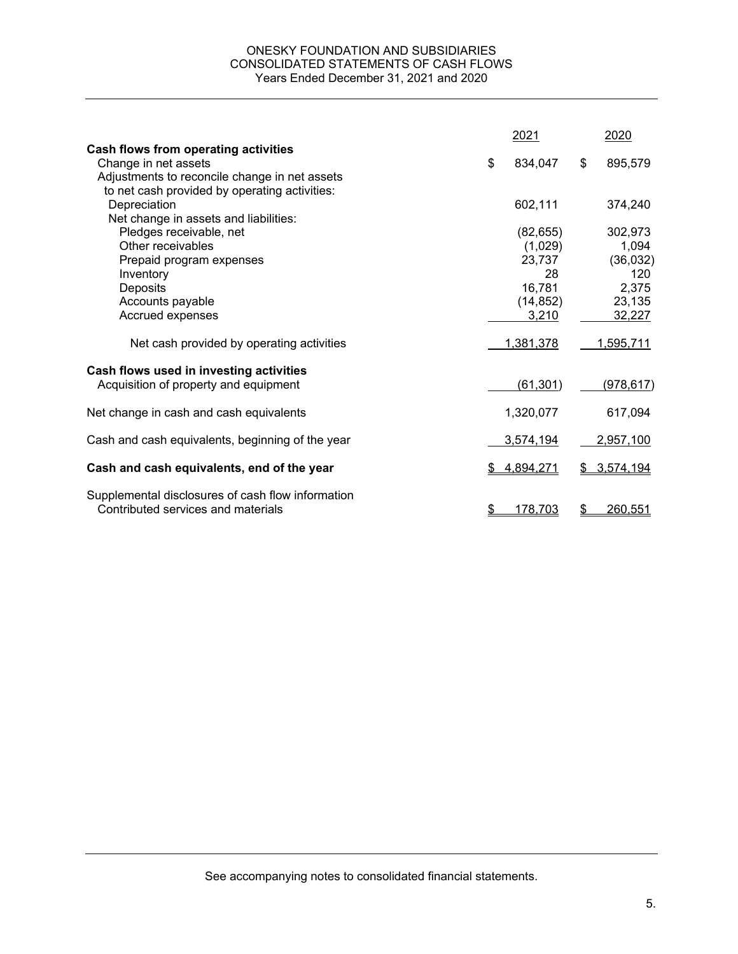#### ONESKY FOUNDATION AND SUBSIDIARIES CONSOLIDATED STATEMENTS OF CASH FLOWS Years Ended December 31, 2021 and 2020

|                                                                                         | 2021          | 2020          |
|-----------------------------------------------------------------------------------------|---------------|---------------|
| Cash flows from operating activities                                                    |               |               |
| Change in net assets                                                                    | \$<br>834,047 | \$<br>895,579 |
| Adjustments to reconcile change in net assets                                           |               |               |
| to net cash provided by operating activities:                                           |               |               |
| Depreciation                                                                            | 602,111       | 374,240       |
| Net change in assets and liabilities:                                                   |               |               |
| Pledges receivable, net                                                                 | (82, 655)     | 302,973       |
| Other receivables                                                                       | (1,029)       | 1,094         |
| Prepaid program expenses                                                                | 23,737        | (36,032)      |
| Inventory                                                                               | 28            | 120           |
| Deposits                                                                                | 16,781        | 2,375         |
| Accounts payable                                                                        | (14, 852)     | 23,135        |
| Accrued expenses                                                                        | 3,210         | 32,227        |
| Net cash provided by operating activities                                               | 1,381,378     | 1,595,711     |
| Cash flows used in investing activities                                                 |               |               |
| Acquisition of property and equipment                                                   | (61, 301)     | (978, 617)    |
| Net change in cash and cash equivalents                                                 | 1,320,077     | 617,094       |
| Cash and cash equivalents, beginning of the year                                        | 3,574,194     | 2,957,100     |
| Cash and cash equivalents, end of the year                                              | 4,894,271     | \$3,574,194   |
| Supplemental disclosures of cash flow information<br>Contributed services and materials | 178,703       | 260,551       |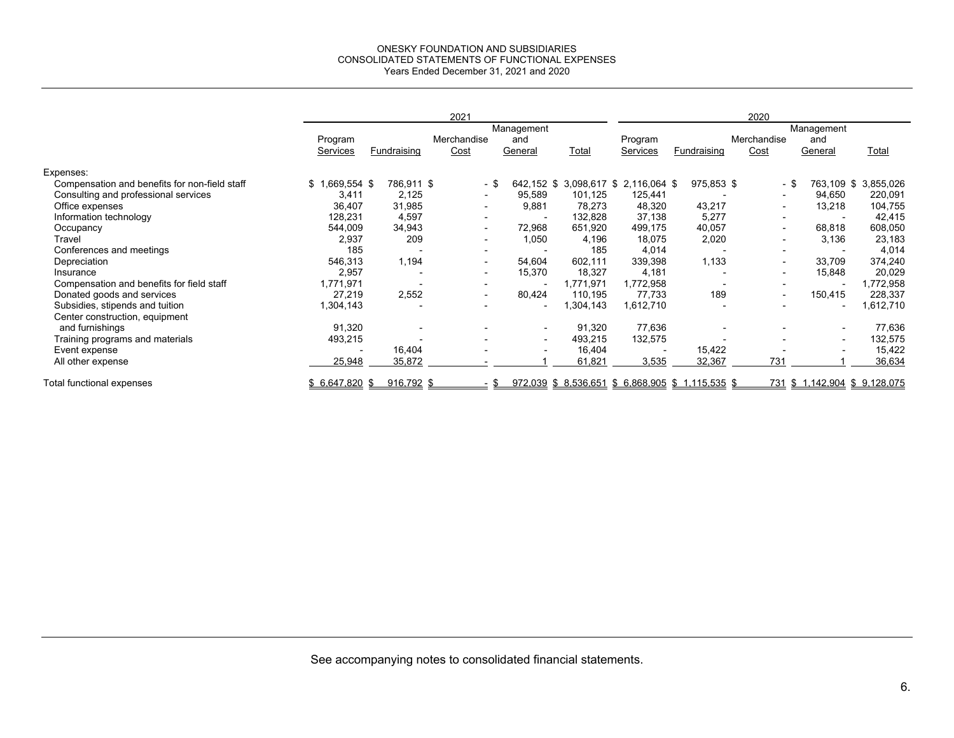# ONESKY FOUNDATION AND SUBSIDIARIES CONSOLIDATED STATEMENTS OF FUNCTIONAL EXPENSES Years Ended December 31, 2021 and 2020

|                                               |                 |             | 2021                     |                          |           |                           |                                                   | 2020                     |                               |           |
|-----------------------------------------------|-----------------|-------------|--------------------------|--------------------------|-----------|---------------------------|---------------------------------------------------|--------------------------|-------------------------------|-----------|
|                                               |                 |             |                          | Management               |           |                           |                                                   |                          | Management                    |           |
|                                               | Program         |             | Merchandise              | and                      |           | Program                   |                                                   | Merchandise              | and                           |           |
|                                               | Services        | Fundraising | Cost                     | General                  | Total     | Services                  | Fundraising                                       | Cost                     | General                       | Total     |
| Expenses:                                     |                 |             |                          |                          |           |                           |                                                   |                          |                               |           |
| Compensation and benefits for non-field staff | $$1,669,554$ \$ | 786,911 \$  | - \$                     | 642,152 \$               |           | 3,098,617 \$ 2,116,064 \$ | 975,853 \$                                        | - \$                     | 763,109 \$                    | 3,855,026 |
| Consulting and professional services          | 3,411           | 2,125       | $\blacksquare$           | 95,589                   | 101,125   | 125,441                   |                                                   | $\overline{\phantom{0}}$ | 94,650                        | 220,091   |
| Office expenses                               | 36,407          | 31,985      | $\overline{\phantom{a}}$ | 9,881                    | 78,273    | 48,320                    | 43,217                                            | $\overline{\phantom{0}}$ | 13,218                        | 104,755   |
| Information technology                        | 128,231         | 4,597       | $\overline{\phantom{a}}$ |                          | 132,828   | 37,138                    | 5,277                                             | $\overline{\phantom{a}}$ |                               | 42,415    |
| Occupancy                                     | 544,009         | 34,943      | $\overline{\phantom{a}}$ | 72,968                   | 651,920   | 499,175                   | 40,057                                            | $\overline{\phantom{a}}$ | 68,818                        | 608,050   |
| Travel                                        | 2,937           | 209         | $\blacksquare$           | 1,050                    | 4,196     | 18,075                    | 2,020                                             | $\overline{\phantom{0}}$ | 3,136                         | 23,183    |
| Conferences and meetings                      | 185             |             | $\overline{\phantom{a}}$ | $\overline{\phantom{a}}$ | 185       | 4,014                     |                                                   |                          | $\overline{\phantom{a}}$      | 4,014     |
| Depreciation                                  | 546,313         | 1,194       | $\overline{\phantom{a}}$ | 54,604                   | 602,111   | 339,398                   | 1,133                                             | $\overline{\phantom{0}}$ | 33,709                        | 374,240   |
| Insurance                                     | 2,957           |             | $\blacksquare$           | 15,370                   | 18,327    | 4,181                     |                                                   |                          | 15,848                        | 20,029    |
| Compensation and benefits for field staff     | 1,771,971       |             | $\overline{\phantom{a}}$ |                          | 1,771,971 | 1,772,958                 |                                                   | $\overline{\phantom{0}}$ |                               | 1,772,958 |
| Donated goods and services                    | 27,219          | 2,552       | $\overline{\phantom{a}}$ | 80,424                   | 110,195   | 77,733                    | 189                                               |                          | 150,415                       | 228,337   |
| Subsidies, stipends and tuition               | 1,304,143       |             | $\overline{\phantom{a}}$ |                          | ,304,143  | 1,612,710                 |                                                   |                          | $\overline{\phantom{a}}$      | 1,612,710 |
| Center construction, equipment                |                 |             |                          |                          |           |                           |                                                   |                          |                               |           |
| and furnishings                               | 91,320          |             | $\overline{\phantom{0}}$ | $\overline{\phantom{0}}$ | 91,320    | 77,636                    |                                                   |                          | $\overline{\phantom{a}}$      | 77,636    |
| Training programs and materials               | 493,215         |             | $\overline{\phantom{a}}$ | $\overline{\phantom{a}}$ | 493,215   | 132,575                   |                                                   |                          | $\overline{\phantom{a}}$      | 132,575   |
| Event expense                                 |                 | 16,404      |                          |                          | 16,404    |                           | 15,422                                            |                          |                               | 15,422    |
| All other expense                             | 25,948          | 35,872      |                          |                          | 61,821    | 3,535                     | 32,367                                            | 731                      |                               | 36,634    |
| Total functional expenses                     | $$6.647.820$ \$ | 916.792 \$  | - \$                     |                          |           |                           | 972.039 \$ 8.536.651 \$ 6.868.905 \$ 1.115.535 \$ |                          | 731 \$ 1.142.904 \$ 9.128.075 |           |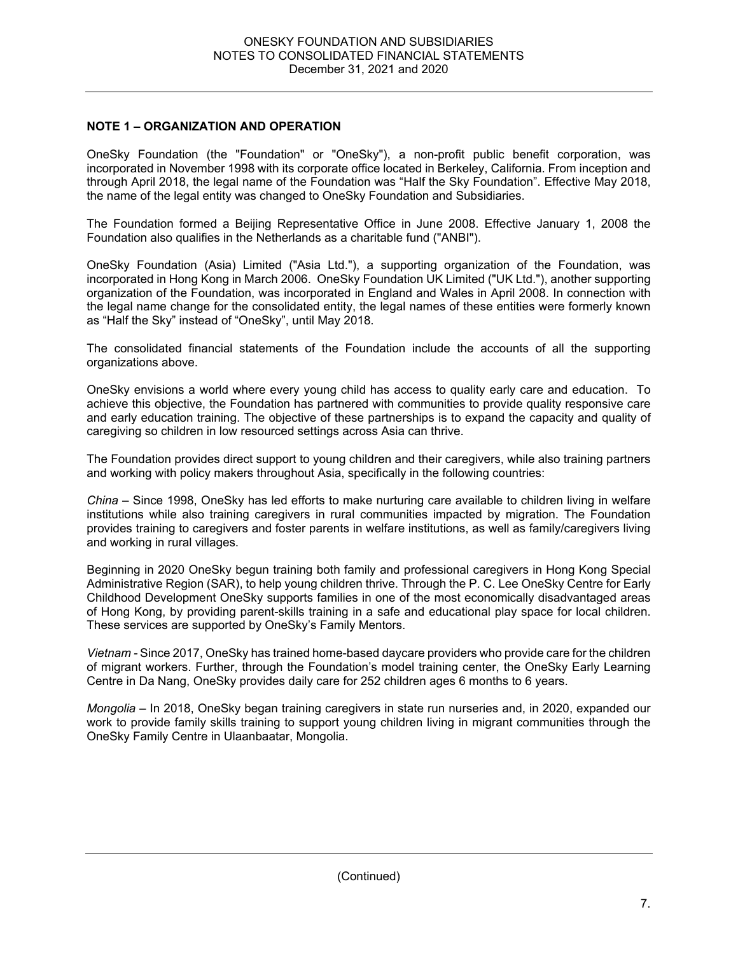## **NOTE 1 – ORGANIZATION AND OPERATION**

OneSky Foundation (the "Foundation" or "OneSky"), a non-profit public benefit corporation, was incorporated in November 1998 with its corporate office located in Berkeley, California. From inception and through April 2018, the legal name of the Foundation was "Half the Sky Foundation". Effective May 2018, the name of the legal entity was changed to OneSky Foundation and Subsidiaries.

The Foundation formed a Beijing Representative Office in June 2008. Effective January 1, 2008 the Foundation also qualifies in the Netherlands as a charitable fund ("ANBI").

OneSky Foundation (Asia) Limited ("Asia Ltd."), a supporting organization of the Foundation, was incorporated in Hong Kong in March 2006. OneSky Foundation UK Limited ("UK Ltd."), another supporting organization of the Foundation, was incorporated in England and Wales in April 2008. In connection with the legal name change for the consolidated entity, the legal names of these entities were formerly known as "Half the Sky" instead of "OneSky", until May 2018.

The consolidated financial statements of the Foundation include the accounts of all the supporting organizations above.

OneSky envisions a world where every young child has access to quality early care and education. To achieve this objective, the Foundation has partnered with communities to provide quality responsive care and early education training. The objective of these partnerships is to expand the capacity and quality of caregiving so children in low resourced settings across Asia can thrive.

The Foundation provides direct support to young children and their caregivers, while also training partners and working with policy makers throughout Asia, specifically in the following countries:

*China* – Since 1998, OneSky has led efforts to make nurturing care available to children living in welfare institutions while also training caregivers in rural communities impacted by migration. The Foundation provides training to caregivers and foster parents in welfare institutions, as well as family/caregivers living and working in rural villages.

Beginning in 2020 OneSky begun training both family and professional caregivers in Hong Kong Special Administrative Region (SAR), to help young children thrive. Through the P. C. Lee OneSky Centre for Early Childhood Development OneSky supports families in one of the most economically disadvantaged areas of Hong Kong, by providing parent-skills training in a safe and educational play space for local children. These services are supported by OneSky's Family Mentors.

*Vietnam -* Since 2017, OneSky has trained home-based daycare providers who provide care for the children of migrant workers. Further, through the Foundation's model training center, the OneSky Early Learning Centre in Da Nang, OneSky provides daily care for 252 children ages 6 months to 6 years.

*Mongolia* – In 2018, OneSky began training caregivers in state run nurseries and, in 2020, expanded our work to provide family skills training to support young children living in migrant communities through the OneSky Family Centre in Ulaanbaatar, Mongolia.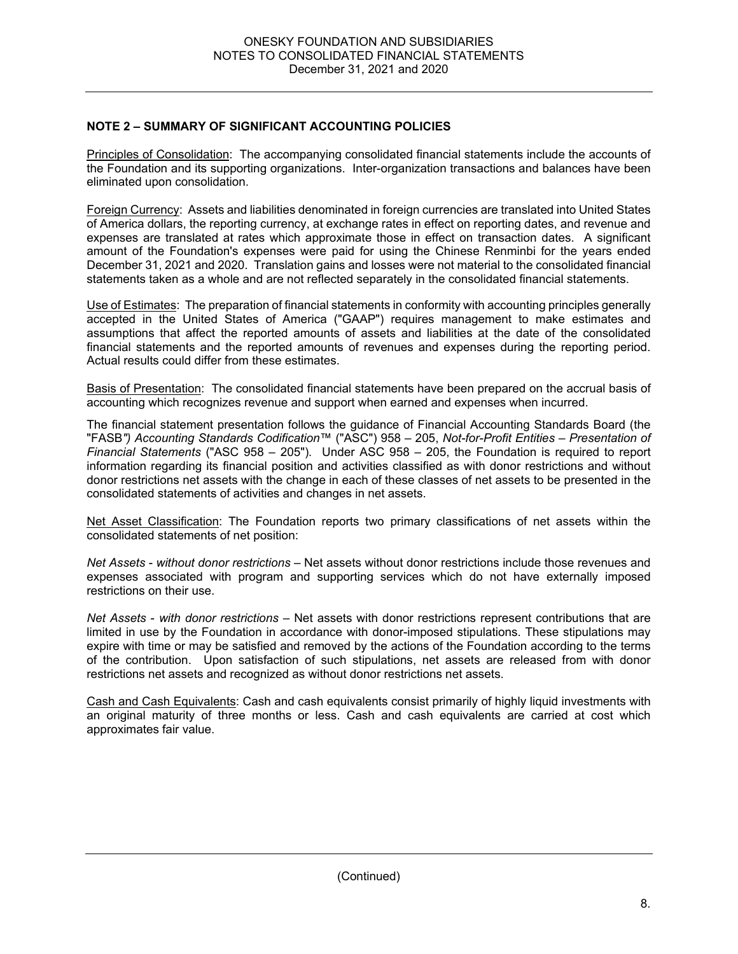# **NOTE 2 – SUMMARY OF SIGNIFICANT ACCOUNTING POLICIES**

Principles of Consolidation: The accompanying consolidated financial statements include the accounts of the Foundation and its supporting organizations. Inter-organization transactions and balances have been eliminated upon consolidation.

Foreign Currency: Assets and liabilities denominated in foreign currencies are translated into United States of America dollars, the reporting currency, at exchange rates in effect on reporting dates, and revenue and expenses are translated at rates which approximate those in effect on transaction dates. A significant amount of the Foundation's expenses were paid for using the Chinese Renminbi for the years ended December 31, 2021 and 2020. Translation gains and losses were not material to the consolidated financial statements taken as a whole and are not reflected separately in the consolidated financial statements.

Use of Estimates: The preparation of financial statements in conformity with accounting principles generally accepted in the United States of America ("GAAP") requires management to make estimates and assumptions that affect the reported amounts of assets and liabilities at the date of the consolidated financial statements and the reported amounts of revenues and expenses during the reporting period. Actual results could differ from these estimates.

Basis of Presentation: The consolidated financial statements have been prepared on the accrual basis of accounting which recognizes revenue and support when earned and expenses when incurred.

The financial statement presentation follows the guidance of Financial Accounting Standards Board (the "FASB*") Accounting Standards Codification*™ ("ASC") 958 – 205, *Not-for-Profit Entities – Presentation of Financial Statements* ("ASC 958 – 205")*.* Under ASC 958 – 205, the Foundation is required to report information regarding its financial position and activities classified as with donor restrictions and without donor restrictions net assets with the change in each of these classes of net assets to be presented in the consolidated statements of activities and changes in net assets.

Net Asset Classification: The Foundation reports two primary classifications of net assets within the consolidated statements of net position:

*Net Assets* - *without donor restrictions* – Net assets without donor restrictions include those revenues and expenses associated with program and supporting services which do not have externally imposed restrictions on their use.

*Net Assets* - *with donor restrictions* – Net assets with donor restrictions represent contributions that are limited in use by the Foundation in accordance with donor-imposed stipulations. These stipulations may expire with time or may be satisfied and removed by the actions of the Foundation according to the terms of the contribution. Upon satisfaction of such stipulations, net assets are released from with donor restrictions net assets and recognized as without donor restrictions net assets.

Cash and Cash Equivalents: Cash and cash equivalents consist primarily of highly liquid investments with an original maturity of three months or less. Cash and cash equivalents are carried at cost which approximates fair value.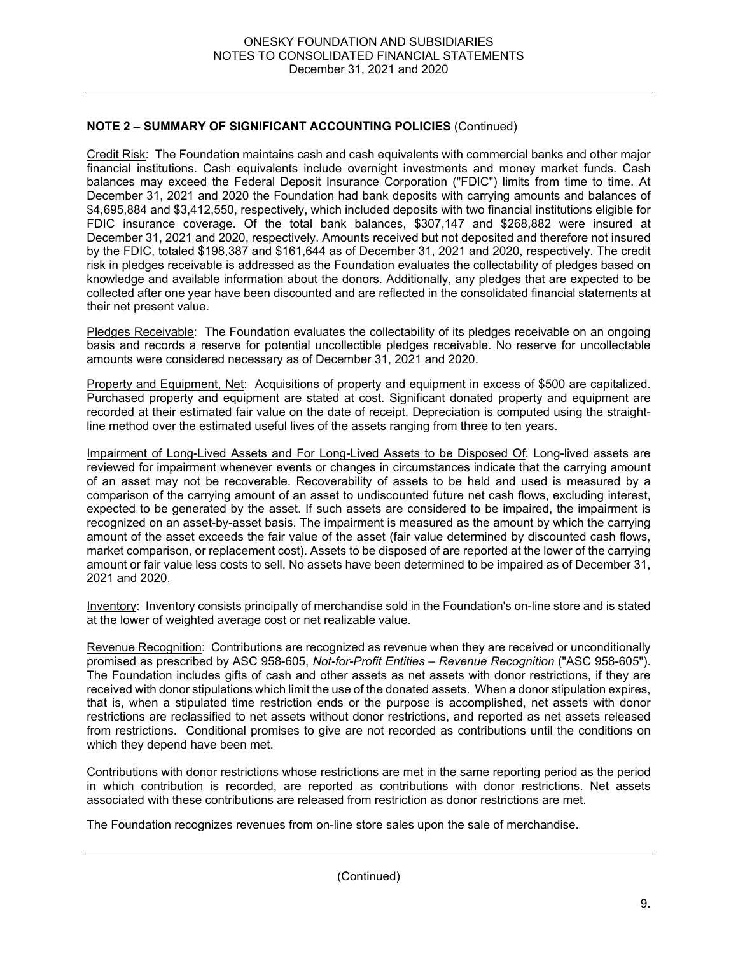# **NOTE 2 – SUMMARY OF SIGNIFICANT ACCOUNTING POLICIES** (Continued)

Credit Risk: The Foundation maintains cash and cash equivalents with commercial banks and other major financial institutions. Cash equivalents include overnight investments and money market funds. Cash balances may exceed the Federal Deposit Insurance Corporation ("FDIC") limits from time to time. At December 31, 2021 and 2020 the Foundation had bank deposits with carrying amounts and balances of \$4,695,884 and \$3,412,550, respectively, which included deposits with two financial institutions eligible for FDIC insurance coverage. Of the total bank balances, \$307,147 and \$268,882 were insured at December 31, 2021 and 2020, respectively. Amounts received but not deposited and therefore not insured by the FDIC, totaled \$198,387 and \$161,644 as of December 31, 2021 and 2020, respectively. The credit risk in pledges receivable is addressed as the Foundation evaluates the collectability of pledges based on knowledge and available information about the donors. Additionally, any pledges that are expected to be collected after one year have been discounted and are reflected in the consolidated financial statements at their net present value.

Pledges Receivable: The Foundation evaluates the collectability of its pledges receivable on an ongoing basis and records a reserve for potential uncollectible pledges receivable. No reserve for uncollectable amounts were considered necessary as of December 31, 2021 and 2020.

Property and Equipment, Net: Acquisitions of property and equipment in excess of \$500 are capitalized. Purchased property and equipment are stated at cost. Significant donated property and equipment are recorded at their estimated fair value on the date of receipt. Depreciation is computed using the straightline method over the estimated useful lives of the assets ranging from three to ten years.

Impairment of Long-Lived Assets and For Long-Lived Assets to be Disposed Of: Long-lived assets are reviewed for impairment whenever events or changes in circumstances indicate that the carrying amount of an asset may not be recoverable. Recoverability of assets to be held and used is measured by a comparison of the carrying amount of an asset to undiscounted future net cash flows, excluding interest, expected to be generated by the asset. If such assets are considered to be impaired, the impairment is recognized on an asset-by-asset basis. The impairment is measured as the amount by which the carrying amount of the asset exceeds the fair value of the asset (fair value determined by discounted cash flows, market comparison, or replacement cost). Assets to be disposed of are reported at the lower of the carrying amount or fair value less costs to sell. No assets have been determined to be impaired as of December 31, 2021 and 2020.

Inventory: Inventory consists principally of merchandise sold in the Foundation's on-line store and is stated at the lower of weighted average cost or net realizable value.

Revenue Recognition: Contributions are recognized as revenue when they are received or unconditionally promised as prescribed by ASC 958-605, *Not-for-Profit Entities – Revenue Recognition* ("ASC 958-605"). The Foundation includes gifts of cash and other assets as net assets with donor restrictions, if they are received with donor stipulations which limit the use of the donated assets. When a donor stipulation expires, that is, when a stipulated time restriction ends or the purpose is accomplished, net assets with donor restrictions are reclassified to net assets without donor restrictions, and reported as net assets released from restrictions. Conditional promises to give are not recorded as contributions until the conditions on which they depend have been met.

Contributions with donor restrictions whose restrictions are met in the same reporting period as the period in which contribution is recorded, are reported as contributions with donor restrictions. Net assets associated with these contributions are released from restriction as donor restrictions are met.

The Foundation recognizes revenues from on-line store sales upon the sale of merchandise.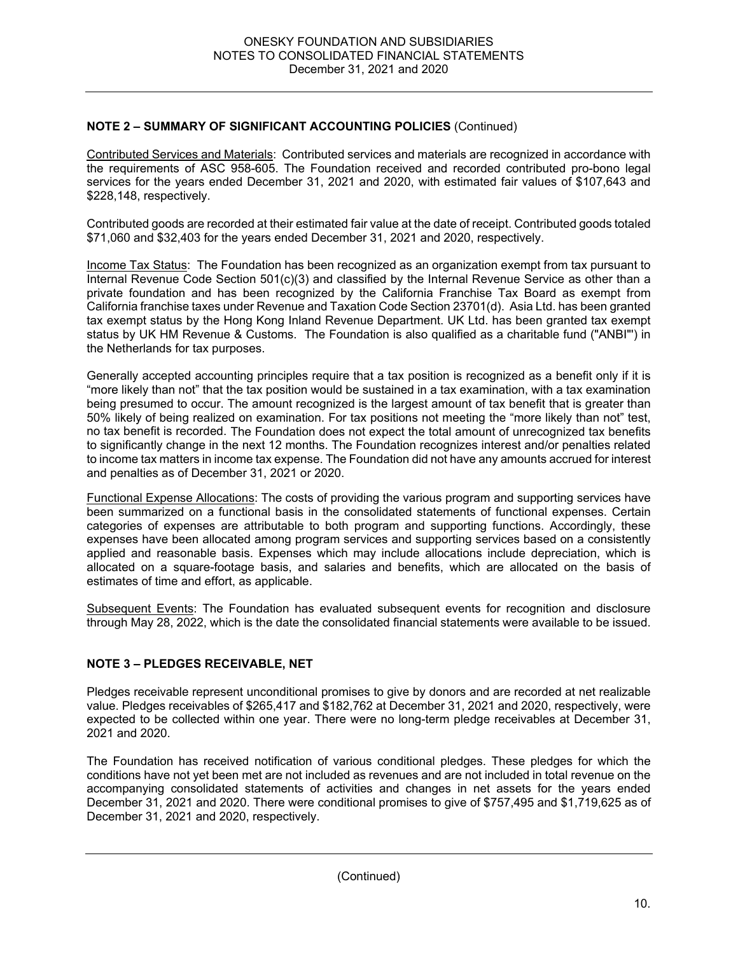# **NOTE 2 – SUMMARY OF SIGNIFICANT ACCOUNTING POLICIES** (Continued)

Contributed Services and Materials: Contributed services and materials are recognized in accordance with the requirements of ASC 958-605. The Foundation received and recorded contributed pro-bono legal services for the years ended December 31, 2021 and 2020, with estimated fair values of \$107,643 and \$228,148, respectively.

Contributed goods are recorded at their estimated fair value at the date of receipt. Contributed goods totaled \$71,060 and \$32,403 for the years ended December 31, 2021 and 2020, respectively.

Income Tax Status: The Foundation has been recognized as an organization exempt from tax pursuant to Internal Revenue Code Section 501(c)(3) and classified by the Internal Revenue Service as other than a private foundation and has been recognized by the California Franchise Tax Board as exempt from California franchise taxes under Revenue and Taxation Code Section 23701(d). Asia Ltd. has been granted tax exempt status by the Hong Kong Inland Revenue Department. UK Ltd. has been granted tax exempt status by UK HM Revenue & Customs. The Foundation is also qualified as a charitable fund ("ANBI"') in the Netherlands for tax purposes.

Generally accepted accounting principles require that a tax position is recognized as a benefit only if it is "more likely than not" that the tax position would be sustained in a tax examination, with a tax examination being presumed to occur. The amount recognized is the largest amount of tax benefit that is greater than 50% likely of being realized on examination. For tax positions not meeting the "more likely than not" test, no tax benefit is recorded. The Foundation does not expect the total amount of unrecognized tax benefits to significantly change in the next 12 months. The Foundation recognizes interest and/or penalties related to income tax matters in income tax expense. The Foundation did not have any amounts accrued for interest and penalties as of December 31, 2021 or 2020.

Functional Expense Allocations: The costs of providing the various program and supporting services have been summarized on a functional basis in the consolidated statements of functional expenses. Certain categories of expenses are attributable to both program and supporting functions. Accordingly, these expenses have been allocated among program services and supporting services based on a consistently applied and reasonable basis. Expenses which may include allocations include depreciation, which is allocated on a square-footage basis, and salaries and benefits, which are allocated on the basis of estimates of time and effort, as applicable.

Subsequent Events: The Foundation has evaluated subsequent events for recognition and disclosure through May 28, 2022, which is the date the consolidated financial statements were available to be issued.

### **NOTE 3 – PLEDGES RECEIVABLE, NET**

Pledges receivable represent unconditional promises to give by donors and are recorded at net realizable value. Pledges receivables of \$265,417 and \$182,762 at December 31, 2021 and 2020, respectively, were expected to be collected within one year. There were no long-term pledge receivables at December 31, 2021 and 2020.

The Foundation has received notification of various conditional pledges. These pledges for which the conditions have not yet been met are not included as revenues and are not included in total revenue on the accompanying consolidated statements of activities and changes in net assets for the years ended December 31, 2021 and 2020. There were conditional promises to give of \$757,495 and \$1,719,625 as of December 31, 2021 and 2020, respectively.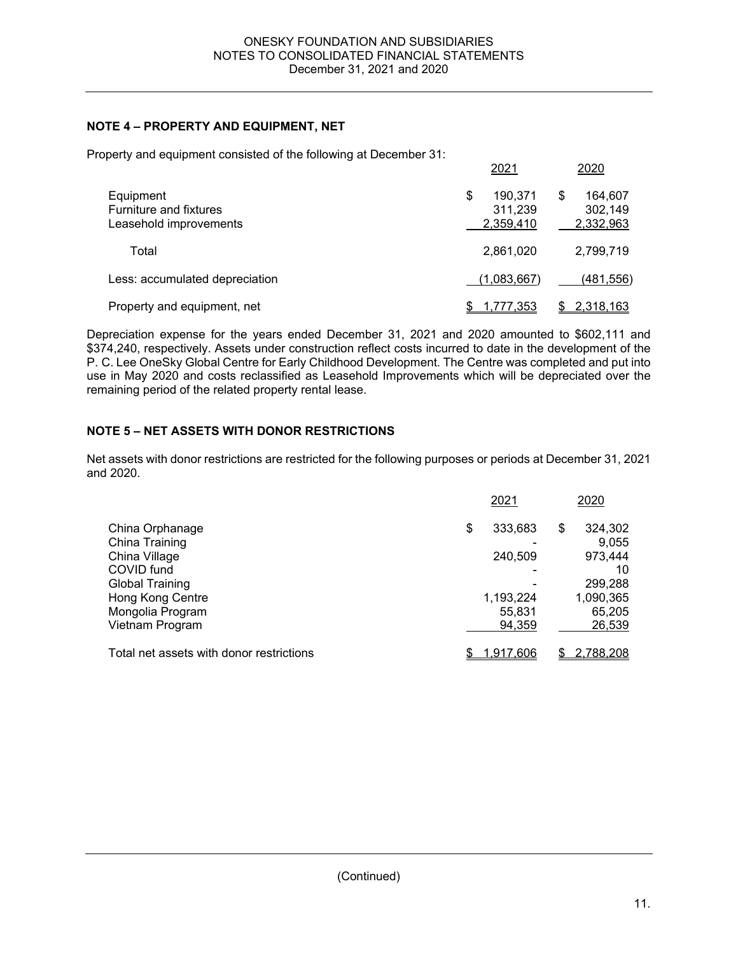## **NOTE 4 – PROPERTY AND EQUIPMENT, NET**

Property and equipment consisted of the following at December 31:

|                                                                      | 2021                                  | 2020                                 |
|----------------------------------------------------------------------|---------------------------------------|--------------------------------------|
| Equipment<br><b>Furniture and fixtures</b><br>Leasehold improvements | 190.371<br>\$<br>311,239<br>2,359,410 | 164.607<br>S<br>302,149<br>2,332,963 |
| Total                                                                | 2,861,020                             | 2,799,719                            |
| Less: accumulated depreciation                                       | (1,083,667)                           | (481,556)                            |
| Property and equipment, net                                          | .777.353                              | 2,318,163                            |

Depreciation expense for the years ended December 31, 2021 and 2020 amounted to \$602,111 and \$374,240, respectively. Assets under construction reflect costs incurred to date in the development of the P. C. Lee OneSky Global Centre for Early Childhood Development. The Centre was completed and put into use in May 2020 and costs reclassified as Leasehold Improvements which will be depreciated over the remaining period of the related property rental lease.

# **NOTE 5 – NET ASSETS WITH DONOR RESTRICTIONS**

Net assets with donor restrictions are restricted for the following purposes or periods at December 31, 2021 and 2020.

|                                          | 2021          | 2020          |
|------------------------------------------|---------------|---------------|
| China Orphanage                          | \$<br>333,683 | \$<br>324,302 |
| China Training                           |               | 9,055         |
| China Village                            | 240,509       | 973,444       |
| COVID fund                               |               | 10            |
| Global Training                          |               | 299,288       |
| Hong Kong Centre                         | 1,193,224     | 1,090,365     |
| Mongolia Program                         | 55,831        | 65,205        |
| Vietnam Program                          | 94,359        | 26,539        |
| Total net assets with donor restrictions | 1.917.606     | 2,788,208     |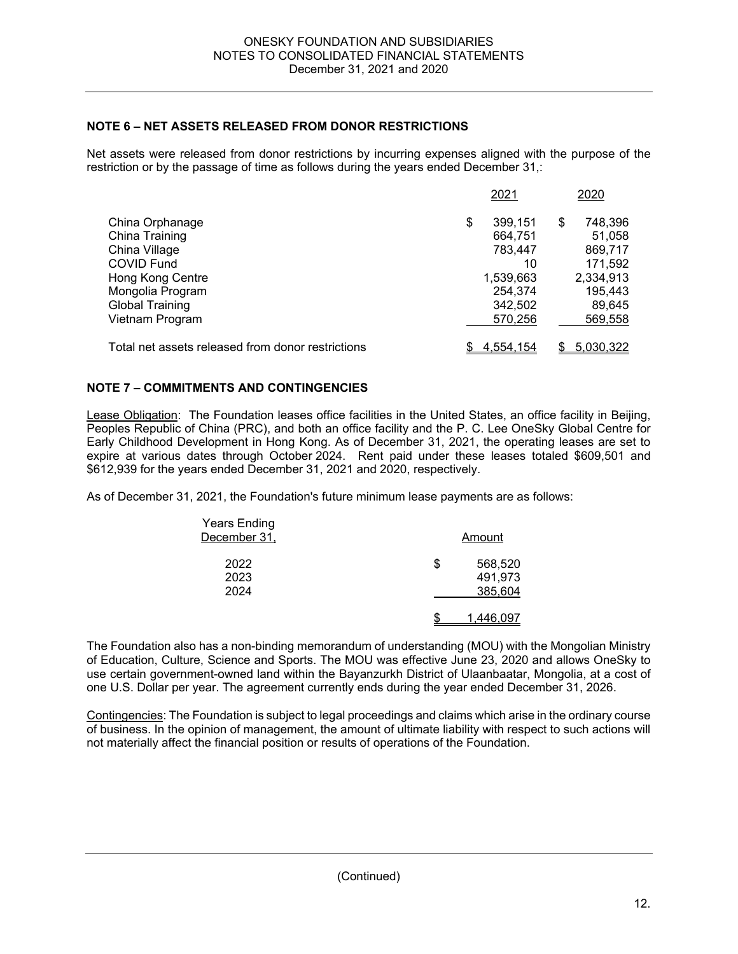## **NOTE 6 – NET ASSETS RELEASED FROM DONOR RESTRICTIONS**

Net assets were released from donor restrictions by incurring expenses aligned with the purpose of the restriction or by the passage of time as follows during the years ended December 31,:

|                                                   | 2021          |   | 2020      |
|---------------------------------------------------|---------------|---|-----------|
| China Orphanage                                   | \$<br>399,151 | S | 748,396   |
| China Training                                    | 664.751       |   | 51,058    |
| China Village                                     | 783,447       |   | 869,717   |
| COVID Fund                                        | 10            |   | 171,592   |
| Hong Kong Centre                                  | 1,539,663     |   | 2,334,913 |
| Mongolia Program                                  | 254,374       |   | 195,443   |
| Global Training                                   | 342,502       |   | 89,645    |
| Vietnam Program                                   | 570,256       |   | 569,558   |
| Total net assets released from donor restrictions | 4.554.154     |   | 5,030,322 |

# **NOTE 7 – COMMITMENTS AND CONTINGENCIES**

Lease Obligation: The Foundation leases office facilities in the United States, an office facility in Beijing, Peoples Republic of China (PRC), and both an office facility and the P. C. Lee OneSky Global Centre for Early Childhood Development in Hong Kong. As of December 31, 2021, the operating leases are set to expire at various dates through October 2024. Rent paid under these leases totaled \$609,501 and \$612,939 for the years ended December 31, 2021 and 2020, respectively.

As of December 31, 2021, the Foundation's future minimum lease payments are as follows:

| <b>Years Ending</b><br>December 31, | Amount                              |
|-------------------------------------|-------------------------------------|
| 2022<br>2023<br>2024                | \$<br>568,520<br>491,973<br>385,604 |
|                                     | 1,446,097                           |

The Foundation also has a non-binding memorandum of understanding (MOU) with the Mongolian Ministry of Education, Culture, Science and Sports. The MOU was effective June 23, 2020 and allows OneSky to use certain government-owned land within the Bayanzurkh District of Ulaanbaatar, Mongolia, at a cost of one U.S. Dollar per year. The agreement currently ends during the year ended December 31, 2026.

Contingencies: The Foundation is subject to legal proceedings and claims which arise in the ordinary course of business. In the opinion of management, the amount of ultimate liability with respect to such actions will not materially affect the financial position or results of operations of the Foundation.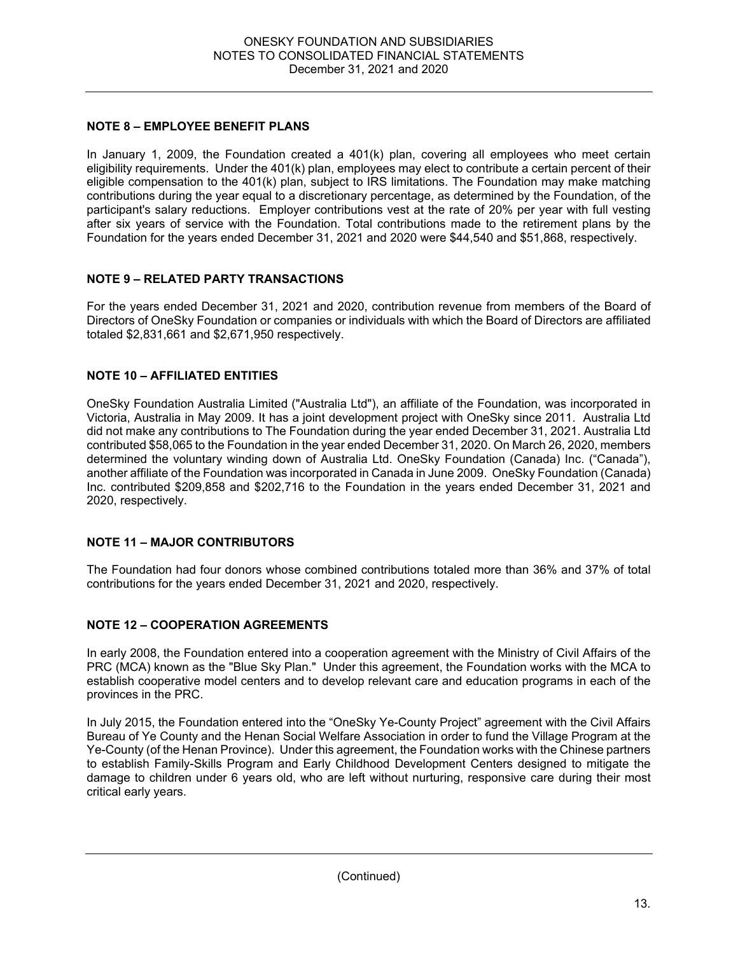# **NOTE 8 – EMPLOYEE BENEFIT PLANS**

In January 1, 2009, the Foundation created a 401(k) plan, covering all employees who meet certain eligibility requirements. Under the 401(k) plan, employees may elect to contribute a certain percent of their eligible compensation to the 401(k) plan, subject to IRS limitations. The Foundation may make matching contributions during the year equal to a discretionary percentage, as determined by the Foundation, of the participant's salary reductions. Employer contributions vest at the rate of 20% per year with full vesting after six years of service with the Foundation. Total contributions made to the retirement plans by the Foundation for the years ended December 31, 2021 and 2020 were \$44,540 and \$51,868, respectively.

# **NOTE 9 – RELATED PARTY TRANSACTIONS**

For the years ended December 31, 2021 and 2020, contribution revenue from members of the Board of Directors of OneSky Foundation or companies or individuals with which the Board of Directors are affiliated totaled \$2,831,661 and \$2,671,950 respectively.

# **NOTE 10 – AFFILIATED ENTITIES**

OneSky Foundation Australia Limited ("Australia Ltd"), an affiliate of the Foundation, was incorporated in Victoria, Australia in May 2009. It has a joint development project with OneSky since 2011. Australia Ltd did not make any contributions to The Foundation during the year ended December 31, 2021. Australia Ltd contributed \$58,065 to the Foundation in the year ended December 31, 2020. On March 26, 2020, members determined the voluntary winding down of Australia Ltd. OneSky Foundation (Canada) Inc. ("Canada"), another affiliate of the Foundation was incorporated in Canada in June 2009. OneSky Foundation (Canada) Inc. contributed \$209,858 and \$202,716 to the Foundation in the years ended December 31, 2021 and 2020, respectively.

# **NOTE 11 – MAJOR CONTRIBUTORS**

The Foundation had four donors whose combined contributions totaled more than 36% and 37% of total contributions for the years ended December 31, 2021 and 2020, respectively.

### **NOTE 12 – COOPERATION AGREEMENTS**

In early 2008, the Foundation entered into a cooperation agreement with the Ministry of Civil Affairs of the PRC (MCA) known as the "Blue Sky Plan." Under this agreement, the Foundation works with the MCA to establish cooperative model centers and to develop relevant care and education programs in each of the provinces in the PRC.

In July 2015, the Foundation entered into the "OneSky Ye-County Project" agreement with the Civil Affairs Bureau of Ye County and the Henan Social Welfare Association in order to fund the Village Program at the Ye-County (of the Henan Province). Under this agreement, the Foundation works with the Chinese partners to establish Family-Skills Program and Early Childhood Development Centers designed to mitigate the damage to children under 6 years old, who are left without nurturing, responsive care during their most critical early years.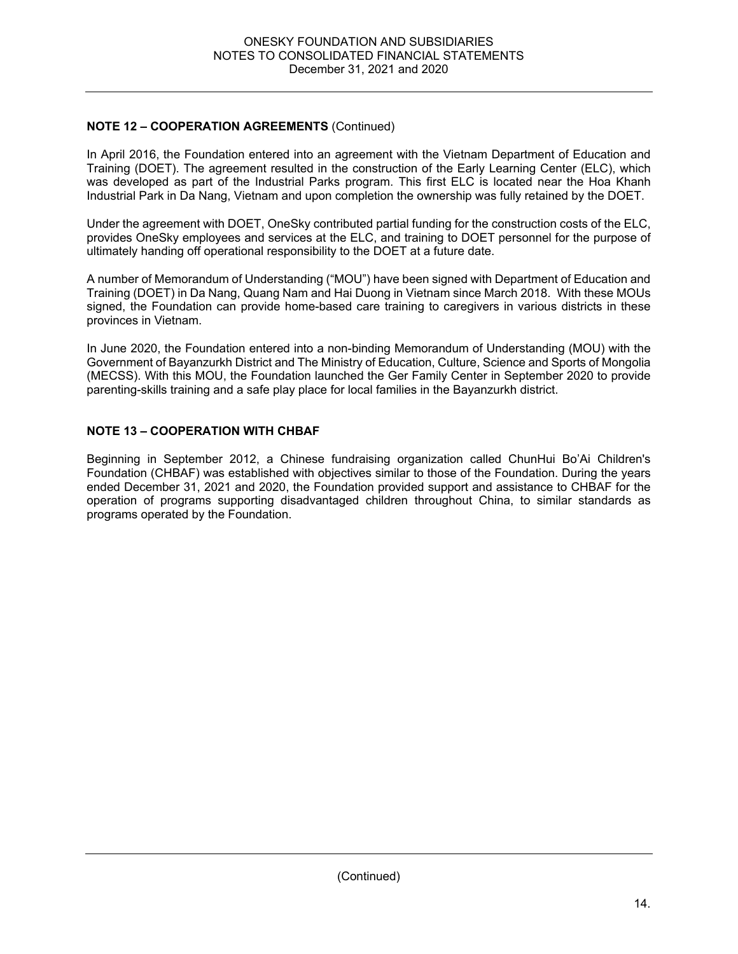# **NOTE 12 – COOPERATION AGREEMENTS** (Continued)

In April 2016, the Foundation entered into an agreement with the Vietnam Department of Education and Training (DOET). The agreement resulted in the construction of the Early Learning Center (ELC), which was developed as part of the Industrial Parks program. This first ELC is located near the Hoa Khanh Industrial Park in Da Nang, Vietnam and upon completion the ownership was fully retained by the DOET.

Under the agreement with DOET, OneSky contributed partial funding for the construction costs of the ELC, provides OneSky employees and services at the ELC, and training to DOET personnel for the purpose of ultimately handing off operational responsibility to the DOET at a future date.

A number of Memorandum of Understanding ("MOU") have been signed with Department of Education and Training (DOET) in Da Nang, Quang Nam and Hai Duong in Vietnam since March 2018. With these MOUs signed, the Foundation can provide home-based care training to caregivers in various districts in these provinces in Vietnam.

In June 2020, the Foundation entered into a non-binding Memorandum of Understanding (MOU) with the Government of Bayanzurkh District and The Ministry of Education, Culture, Science and Sports of Mongolia (MECSS). With this MOU, the Foundation launched the Ger Family Center in September 2020 to provide parenting-skills training and a safe play place for local families in the Bayanzurkh district.

# **NOTE 13 – COOPERATION WITH CHBAF**

Beginning in September 2012, a Chinese fundraising organization called ChunHui Bo'Ai Children's Foundation (CHBAF) was established with objectives similar to those of the Foundation. During the years ended December 31, 2021 and 2020, the Foundation provided support and assistance to CHBAF for the operation of programs supporting disadvantaged children throughout China, to similar standards as programs operated by the Foundation.